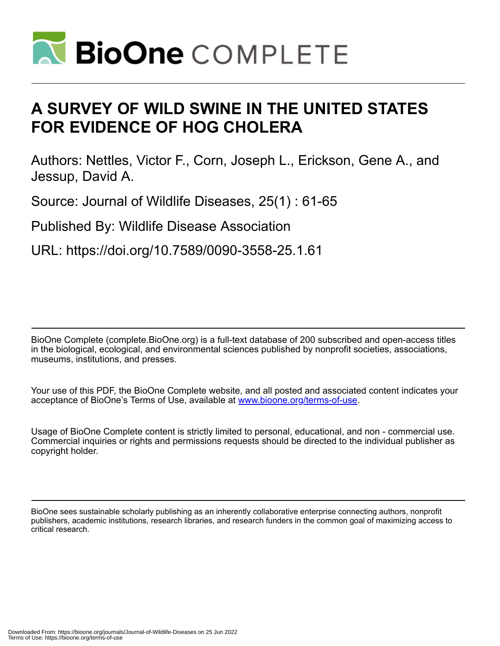

# **A SURVEY OF WILD SWINE IN THE UNITED STATES FOR EVIDENCE OF HOG CHOLERA**

Authors: Nettles, Victor F., Corn, Joseph L., Erickson, Gene A., and Jessup, David A.

Source: Journal of Wildlife Diseases, 25(1) : 61-65

Published By: Wildlife Disease Association

URL: https://doi.org/10.7589/0090-3558-25.1.61

BioOne Complete (complete.BioOne.org) is a full-text database of 200 subscribed and open-access titles in the biological, ecological, and environmental sciences published by nonprofit societies, associations, museums, institutions, and presses.

Your use of this PDF, the BioOne Complete website, and all posted and associated content indicates your acceptance of BioOne's Terms of Use, available at www.bioone.org/terms-of-use.

Usage of BioOne Complete content is strictly limited to personal, educational, and non - commercial use. Commercial inquiries or rights and permissions requests should be directed to the individual publisher as copyright holder.

BioOne sees sustainable scholarly publishing as an inherently collaborative enterprise connecting authors, nonprofit publishers, academic institutions, research libraries, and research funders in the common goal of maximizing access to critical research.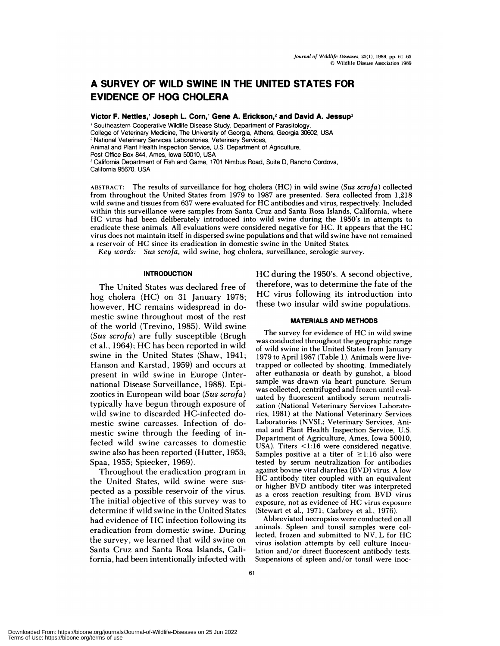## **A SURVEY OF WILD SWINE IN THE UNITED STATES FOR EVIDENCE OF HOG CHOLERA**

**Victor F. Nettles, Joseph L. Corn, Gene A. Erickson,2 and David A. Jessup3**

<sup>1</sup> Southeastern Cooperative Wildlife Disease Study, Department of Parasitology

College of Veterinary Medicine, The University of Georgia, Athens, Georgia 30602, USA

**<sup>2</sup>** National Veterinary Services Laboratories, Veterinary Services,

Animal and Plant Health Inspection Service, U.S. Department of Agriculture,

Post Office Box 844, Ames, Iowa 50010, USA

<sup>3</sup> California Department of Fish and Game, 1701 Nimbus Road, Suite D, Rancho Cordova, California 95670, USA

ABSTRACT: The results of surveillance for hog cholera (HC) in wild **swine** *(Sus scrofa)* collected from throughout the United States from 1979 to 1987 are presented. Sera collected from 1,218 wild swine and tissues from <sup>637</sup> were evaluated for HC antibodies and virus, respectively. Included within this surveillance were samples from Santa Cruz and Santa Rosa Islands, California, where HC virus had been deliberately introduced into wild swine during the 1950's in attempts to eradicate these animals. All evaluations were considered negative for HC. It appears that the HC virus does not maintain itself in dispersed swine populations and that wild swine have not remained a reservoir of HC since its eradication in domestic swine in the United States.

*Key words: Sus scrofa,* wild swine, hog cholera, surveillance, serologic survey.

#### **INTRODUCTION**

The United States was declared free of hog cholera (HC) on 31 January 1978; however, HC remains widespread in domestic swine throughout most of the rest of the world (Trevino, 1985). Wild swine *(Sus scrofa)* are fully susceptible (Brugh et al., 1964); HC has been reported in wild swine in the United States (Shaw, 1941; Hanson and Karstad, 1959) and occurs at present in wild swine in Europe (International Disease Surveillance, 1988). Epizootics in European wild boar *(Sus scrofa)* typically have begun through exposure of wild swine to discarded HC-infected domestic swine carcasses. Infection of domestic swine through the feeding of infected wild swine carcasses to domestic swine also has been reported (Hutter, 1953; Spaa, 1955; Spiecker, 1969).

Throughout the eradication program in the United States, wild swine were sus pected as a possible reservoir of the virus. The initial objective of this survey was to determine if wild swine in the United States had evidence of HC infection following its eradication from domestic swine. During the survey, we learned that wild swine on Santa Cruz and Santa Rosa Islands, California, had been intentionally infected with HC during the 1950's. A second objective, therefore, was to determine the fate of the HC virus following its introduction into these two insular wild swine populations.

#### **MATERIALS AND METHODS**

The survey for evidence of HC in wild swine was conducted throughout the geographic range of wild swine in the United States from January 1979 to April 1987 (Table 1). Animals were livetrapped or collected by shooting. Immediately after euthanasia or death by gunshot, a blood sample was drawn via heart puncture. Serum was collected, centrifuged and frozen until eval uated by fluorescent antibody serum neutrali zation (National Veterinary Services Laboratories, 1981) at the National Veterinary Services Laboratories (NVSL; Veterinary Services, Ani mal and Plant Health Inspection Service, U.S. Department of Agriculture, Ames, Iowa 50010, USA). Titers  $\leq$ 1:16 were considered negative. Samples positive at a titer of  $\geq$ 1:16 also were tested by serum neutralization for antibodies against bovine viral diarrhea (BVD) virus. A low HC antibody titer coupled with an equivalent or higher BVD antibody titer was interpreted as a cross reaction resulting from BVD virus exposure, not as evidence of HC virus exposure (Stewart et al., 1971; Carbrey et al., 1976).

Abbreviated necropsies were conducted on all animals. Spleen and tonsil samples were collected, frozen and submitted to NV. L for HC virus isolation attempts by cell culture inoculation and/or direct fluorescent antibody tests. Suspensions of spleen and/or tonsil were inoc-

Downloaded From: https://bioone.org/journals/Journal-of-Wildlife-Diseases on 25 Jun 2022 Terms of Use: https://bioone.org/terms-of-use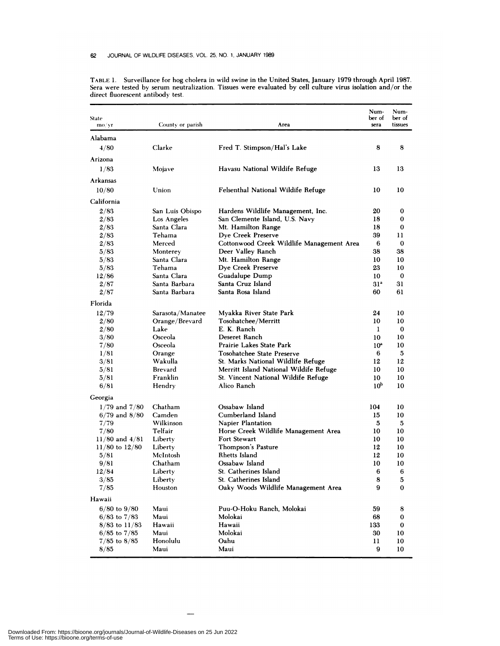| State<br>mo/yr               | County or parish       | Area                                      | Num-<br>ber of<br>sera | Num-<br>ber of<br>tissues |
|------------------------------|------------------------|-------------------------------------------|------------------------|---------------------------|
| Alabama                      |                        |                                           |                        |                           |
| 4/80                         | Clarke                 | Fred T. Stimpson/Hal's Lake               | 8                      | 8                         |
| Arizona                      |                        |                                           |                        |                           |
| 1/83                         | Mojave                 | Havasu National Wildife Refuge            | 13                     | 13                        |
| <b>Arkansas</b>              |                        |                                           |                        |                           |
| 10/80                        | Union                  | Felsenthal National Wildife Refuge        | 10                     | 10                        |
|                              |                        |                                           |                        |                           |
| California                   |                        |                                           |                        |                           |
| 2/83                         | San Luis Obispo        | Hardens Wildlife Management, Inc.         | 20                     | $\bf{0}$                  |
| 2/83                         | Los Angeles            | San Clemente Island, U.S. Navy            | 18                     | 0                         |
| 2/83                         | Santa Clara            | Mt. Hamilton Range                        | 18                     | 0                         |
| 2/83                         | Tehama                 | Dye Creek Preserve                        | 39                     | 11                        |
| 2/83                         | Merced                 | Cottonwood Creek Wildlife Management Area | 6                      | 0                         |
| 5/83                         | Monterey               | Deer Valley Ranch                         | 38                     | 38                        |
| 5/83                         | Santa Clara<br>Tehama  | Mt. Hamilton Range                        | 10                     | 10                        |
| 5/83                         | Santa Clara            | Dye Creek Preserve                        | 23                     | 10<br>$\bf{0}$            |
| 12/86                        | Santa Barbara          | Guadalupe Dump<br>Santa Cruz Island       | 10<br>31 <sup>a</sup>  | 31                        |
| 2/87<br>2/87                 | Santa Barbara          | Santa Rosa Island                         | 60                     | 61                        |
|                              |                        |                                           |                        |                           |
| Florida                      |                        |                                           |                        |                           |
| 12/79                        | Sarasota/Manatee       | Myakka River State Park                   | 24                     | 10<br>10                  |
| 2/80                         | Orange/Brevard<br>Lake | Tosohatchee/Merritt<br>E. K. Ranch        | 10<br>1                | 0                         |
| 2/80                         | Osceola                | Deseret Ranch                             |                        | 10                        |
| 3/80                         | Osceola                | Prairie Lakes State Park                  | 10<br>10 <sup>a</sup>  | 10                        |
| 7/80<br>1/81                 |                        | Tosohatchee State Preserve                | 6                      | 5                         |
|                              | Orange<br>Wakulla      | St. Marks National Wildlife Refuge        | 12                     | 12                        |
| 3/81<br>5/81                 | Brevard                | Merritt Island National Wildife Refuge    | 10                     | 10                        |
| 5/81                         | Franklin               | St. Vincent National Wildife Refuge       | 10                     | 10                        |
| 6/81                         | Hendry                 | Alico Ranch                               | 10 <sup>b</sup>        | 10                        |
|                              |                        |                                           |                        |                           |
| Georgia<br>$1/79$ and $7/80$ | Chatham                | Ossabaw Island                            | 104                    | 10                        |
| $6/79$ and $8/80$            | Camden                 | Cumberland Island                         | 15                     | 10                        |
| 7/79                         | Wilkinson              | Napier Plantation                         | 5                      | 5                         |
| 7/80                         | Telfair                | Horse Creek Wildlife Management Area      | 10                     | 10                        |
| $11/80$ and $4/81$           | Liberty                | <b>Fort Stewart</b>                       | 10                     | 10                        |
| $11/80$ to $12/80$           | Liberty                | Thompson's Pasture                        | 12                     | 10                        |
| 5/81                         | McIntosh               | Rhetts Island                             | 12                     | 10                        |
| 9/81                         | Chatham                | Ossabaw Island                            | 10                     | 10                        |
| 12/84                        | Liberty                | St. Catherines Island                     | 6                      | $\boldsymbol{6}$          |
| 3/85                         | Liberty                | St. Catherines Island                     | 8                      | 5                         |
| 7/85                         | Houston                | Oaky Woods Wildlife Management Area       | 9                      | 0                         |
| Hawaii                       |                        |                                           |                        |                           |
| $6/80$ to $9/80$             | Maui                   | Puu-O-Hoku Ranch, Molokai                 | 59                     | 8                         |
| $6/83$ to $7/83$             | Maui                   | Molokai                                   | 68                     | 0                         |
| $8/83$ to $11/83$            | Hawaii                 | Hawaii                                    | 133                    | 0                         |
| $6/85$ to $7/85$             | Maui                   | Molokai                                   | 30                     | 10                        |
| $7/85$ to $8/85$             | Honolulu               | Oahu                                      | 11                     | 10                        |
| 8/85                         | Maui                   | Maui                                      | 9                      | 10                        |

TABLE 1. Surveillance for hog cholera in wild swine in the United States, January 1979 through April 1987. Sera were tested by serum neutralization. Tissues were evaluated by cell culture virus isolation and/or the direct fluorescent antibody test.

 $\overline{\phantom{a}}$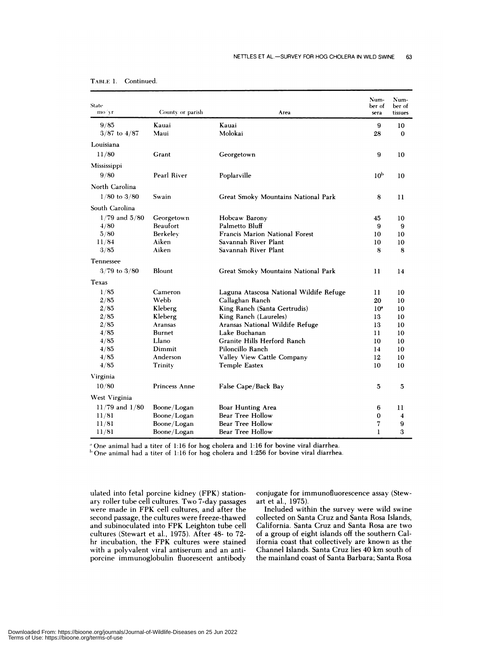| State<br>mo/yr     | County or parish | Area                                    | Num-<br>ber of<br>sera | Num-<br>ber of<br>tissues |
|--------------------|------------------|-----------------------------------------|------------------------|---------------------------|
| 9/85               | Kauai            | Kauai                                   | 9                      | 10                        |
| $3/87$ to $4/87$   | Maui             | Molokai                                 | 28                     | $\bf{0}$                  |
| Louisiana          |                  |                                         |                        |                           |
| 11/80              | Grant            | Georgetown                              | 9                      | 10                        |
| Mississippi        |                  |                                         |                        |                           |
| 9/80               | Pearl River      |                                         | 10 <sup>b</sup>        |                           |
|                    |                  | Poplarville                             |                        | 10                        |
| North Carolina     |                  |                                         |                        |                           |
| $1/80$ to $3/80$   | Swain            | Great Smoky Mountains National Park     | 8                      | $\mathbf{1}$              |
| South Carolina     |                  |                                         |                        |                           |
| $1/79$ and $5/80$  | Georgetown       | Hobcaw Barony                           | 45                     | 10                        |
| 4/80               | Beaufort         | Palmetto Bluff                          | 9                      | 9                         |
| 5/80               | Berkelev         | <b>Francis Marion National Forest</b>   | 10                     | 10                        |
| 11/84              | Aiken            | Savannah River Plant                    | 10                     | 10                        |
| 3/85               | Aiken            | Savannah River Plant                    | 8                      | 8                         |
| Tennessee          |                  |                                         |                        |                           |
| $3/79$ to $3/80$   | Blount           | Great Smoky Mountains National Park     | 11                     | 14                        |
| Texas              |                  |                                         |                        |                           |
| 1/85               | Cameron          | Laguna Atascosa National Wildife Refuge | 11                     | 10                        |
| 2/85               | Webb             | Callaghan Ranch                         | 20                     | 10                        |
| 2/85               | Kleberg          | King Ranch (Santa Gertrudis)            | 10 <sup>a</sup>        | 10                        |
| 2/85               | Kleberg          | King Ranch (Laureles)                   | 13                     | 10                        |
| 2/85               | Aransas          | Aransas National Wildife Refuge         | 13                     | 10                        |
| 4/85               | <b>Burnet</b>    | Lake Buchanan                           | 11                     | 10                        |
| 4/85               | Llano            | Granite Hills Herford Ranch             | 10                     | 10                        |
| 4/85               | Dimmit           | Piloncillo Ranch                        | 14                     | 10                        |
| 4/85               | Anderson         | Valley View Cattle Company              | 12                     | 10                        |
| 4/85               | Trinity          | <b>Temple Eastex</b>                    | 10                     | 10                        |
| Virginia           |                  |                                         |                        |                           |
| 10/80              | Princess Anne    | False Cape/Back Bay                     | 5                      | 5                         |
| West Virginia      |                  |                                         |                        |                           |
| $11/79$ and $1/80$ | Boone/Logan      | Boar Hunting Area                       | 6                      | 11                        |
| 11/81              | Boone/Logan      | Bear Tree Hollow                        | 0                      | 4                         |
| 11/81              | Boone/Logan      | Bear Tree Hollow                        | 7                      | 9                         |
| 11/81              | Boone/Logan      | Bear Tree Hollow                        | 1                      | 3                         |

| Continued |
|-----------|
|           |

One animal had a titer of 1:16 for hog cholera and 1:16 for bovine viral diarrhea.

 $<sup>b</sup>$  One animal had a titer of 1:16 for hog cholera and 1:256 for bovine viral diarrhea.</sup>

ulated into fetal porcine kidney (FPK) station ary roller tube cell cultures. Two 7-day passages were made in FPK cell cultures, and after the second passage, the cultures were freeze-thawed and subinoculated into FPK Leighton tube cell cultures (Stewart et al., 1975). After 48- to 72 hr incubation, the FPK cultures were stained with a polyvalent viral antiserum and an anti porcine immunoglobulin fluorescent antibody

conjugate for immunofluorescence assay (Stewart et al., 1975).

Included within the survey were wild swine collected on Santa Cruz and Santa Rosa Islands, California. Santa Cruz and Santa Rosa are two of a group of eight islands off the southern California coast that collectively are known as the Channel Islands. Santa **Cruz** lies 40 km south of the mainland coast of Santa Barbara; Santa Rosa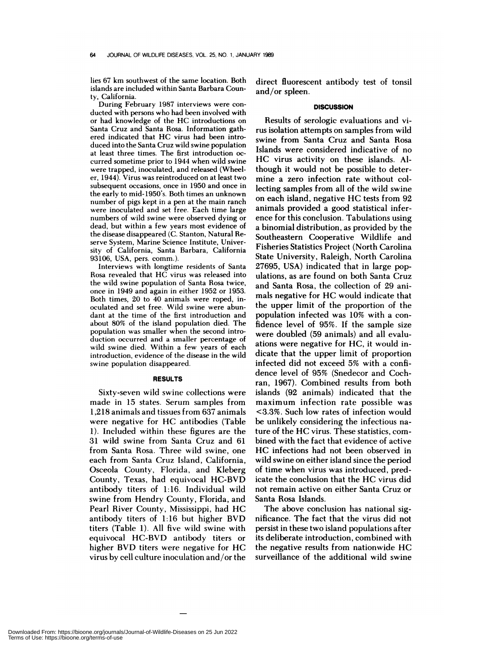lies 67 km southwest of the same location. Both **islands** are included within Santa Barbara County, California.

**During February 1987 interviews were con** ducted with persons who had been involved with **or** had knowledge of the HC introductions **on** Santa Cruz and Santa Rosa. Information gathered indicated that HC virus had been introduced into the Santa Cruz wild swine population at least three times. The first introduction oc curred sometime prior to 1944 when wild swine were trapped, inoculated, and released (Wheeler, 1944). Virus was reintroduced on atleast two subsequent occasions, once in 1950 and once in the early to mid-1950's. Both times an unknown number of pigs kept in a pen at the main ranch were inoculated and setfree. Each time **large** numbers of wild swine were observed dying or dead, but within a few years most evidence of the disease disappeared (C. Stanton, Natural Re serve System, **Marine Science** Institute, University of California, Santa Barbara, California 93106, USA, pers. comm.).

**Interviews** with longtime residents of Santa Rosa revealed that HC virus was released into the wild swine population of Santa Rosa twice, once in 1949 and again in either 1952 or 1953. Both times, 20 to 40 animals were roped, inoculated and set free. Wild swine were abundant at the time of the first introduction and about 80% of the island population died. The population was smaller when the second introduction occurred and a smaller percentage of wild swine died. Within a few years of each introduction, evidence of the disease in the wild swine population disappeared.

#### **RESULTS**

Sixty-seven wild swine collections were made in 15 states. Serum samples from 1,218 animals and tissues from 637 animals were negative for HC antibodies (Table 1). Included within these figures are the 31 wild swine from Santa Cruz and 61 from Santa Rosa. Three wild swine, one each from Santa Cruz Island, California, Osceola County, Florida, and Kleberg County, Texas, had equivocal HC-BVD antibody titers of 1:16. Individual wild swine from Hendry County, Florida, and Pearl River County, Mississippi, had HC antibody titers **of** 1:16 but higher BVD titers (Table 1). All five wild swine with equivocal HC-BVD antibody titers or higher BVD titers were negative for HC virus by cell culture inoculation and/or the

direct fluorescent antibody test of tonsil and/or spleen.

### **DISCUSSION**

Results of serologic evaluations and virus isolation attempts on samples from wild swine from Santa Cruz and Santa Rosa Islands were considered indicative of no HC virus activity on these islands. Although it would not be possible to determine a zero infection rate without collecting samples from all of the wild swine on each island, negative HG tests from 92 animals provided a good statistical infer ence for this conclusion. Tabulations using a binomial distribution, as provided by the Southeastern Cooperative Wildlife and Fisheries Statistics Project (North Carolina State University, Raleigh, North Carolina 27695, USA) indicated that in large populations, as are found on both Santa Cruz and Santa Rosa, the collection of 29 animals negative for HG would indicate that the upper limit of the proportion of the population infected was 10% with a confidence level of 95%. If the sample size were doubled (59 animals) and all evaluations were negative for HG, it would indicate that the upper limit of proportion infected did not exceed 5% with a confidence level of 95% (Snedecor and Cochran, 1967). Combined results from both islands (92 animals) indicated that the maximum infection rate possible was <3.3%. Such low rates of infection would be unlikely considering the infectious nature of the HG virus. These statistics, com bined with the fact that evidence of active HG infections had not been observed in wild swine on either island since the period of time when virus was introduced, predicate the conclusion that the HG virus did not remain active on either Santa Gruz or Santa Rosa Islands.

The above conclusion has national significance. The fact that the virus did not persist in these two island populations after its deliberate introduction, combined with the negative results from nationwide HG surveillance of the additional wild swine